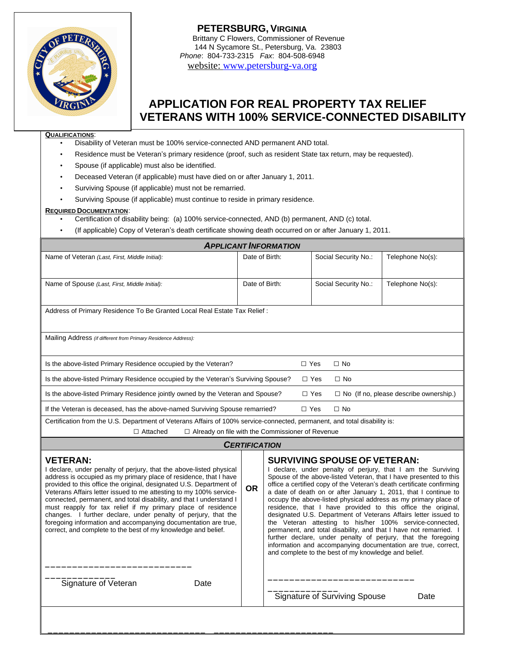

**PETERSBURG, VIRGINIA** Brittany C Flowers, Commissioner of Revenue 144 N Sycamore St., Petersburg, Va. 23803 *Phone*: 804-733-2315 *Fax*: 804-508-6948 website: [www.petersburg-va.org](http://www.petersburg-va.org)

# **APPLICATION FOR REAL PROPERTY TAX RELIEF VETERANS WITH 100% SERVICE-CONNECTED DISABILITY**

#### **QUALIFICATIONS**:

- Disability of Veteran must be 100% service-connected AND permanent AND total.
- Residence must be Veteran's primary residence (proof, such as resident State tax return, may be requested).
- Spouse (if applicable) must also be identified.
- Deceased Veteran (if applicable) must have died on or after January 1, 2011.
- Surviving Spouse (if applicable) must not be remarried.
- Surviving Spouse (if applicable) must continue to reside in primary residence.

#### **REQUIRED DOCUMENTATION**:

- Certification of disability being: (a) 100% service-connected, AND (b) permanent, AND (c) total.
- (If applicable) Copy of Veteran's death certificate showing death occurred on or after January 1, 2011.

| <b>APPLICANT INFORMATION</b>                                                                                              |                |                      |                                               |                  |  |  |  |
|---------------------------------------------------------------------------------------------------------------------------|----------------|----------------------|-----------------------------------------------|------------------|--|--|--|
| Name of Veteran (Last, First, Middle Initial):                                                                            | Date of Birth: |                      | Social Security No.:                          | Telephone No(s): |  |  |  |
|                                                                                                                           |                |                      |                                               |                  |  |  |  |
| Name of Spouse (Last, First, Middle Initial):                                                                             | Date of Birth: | Social Security No.: |                                               | Telephone No(s): |  |  |  |
|                                                                                                                           |                |                      |                                               |                  |  |  |  |
| Address of Primary Residence To Be Granted Local Real Estate Tax Relief:                                                  |                |                      |                                               |                  |  |  |  |
|                                                                                                                           |                |                      |                                               |                  |  |  |  |
| Mailing Address (if different from Primary Residence Address):                                                            |                |                      |                                               |                  |  |  |  |
|                                                                                                                           |                |                      |                                               |                  |  |  |  |
| Is the above-listed Primary Residence occupied by the Veteran?                                                            |                |                      | $\Box$ No                                     |                  |  |  |  |
| Is the above-listed Primary Residence occupied by the Veteran's Surviving Spouse?                                         |                | $\Box$ Yes           | $\Box$ No                                     |                  |  |  |  |
| Is the above-listed Primary Residence jointly owned by the Veteran and Spouse?                                            |                | $\Box$ Yes           | $\Box$ No (If no, please describe ownership.) |                  |  |  |  |
| If the Veteran is deceased, has the above-named Surviving Spouse remarried?                                               |                | $\Box$ Yes           | $\Box$ No                                     |                  |  |  |  |
| Certification from the U.S. Department of Veterans Affairs of 100% service-connected, permanent, and total disability is: |                |                      |                                               |                  |  |  |  |
| $\Box$ Attached<br>$\Box$ Already on file with the Commissioner of Revenue                                                |                |                      |                                               |                  |  |  |  |

## *CERTIFICATION*

| <b>VETERAN:</b><br>I declare, under penalty of perjury, that the above-listed physical<br>address is occupied as my primary place of residence, that I have<br>provided to this office the original, designated U.S. Department of<br>Veterans Affairs letter issued to me attesting to my 100% service-<br>connected, permanent, and total disability, and that I understand I<br>must reapply for tax relief if my primary place of residence<br>changes. I further declare, under penalty of perjury, that the<br>foregoing information and accompanying documentation are true.<br>correct, and complete to the best of my knowledge and belief. |      | <b>OR</b> | <b>SURVIVING SPOUSE OF VETERAN:</b><br>declare, under penalty of perjury, that I am the Surviving<br>Spouse of the above-listed Veteran, that I have presented to this<br>office a certified copy of the Veteran's death certificate confirming<br>a date of death on or after January 1, 2011, that I continue to<br>occupy the above-listed physical address as my primary place of<br>residence, that I have provided to this office the original,<br>designated U.S. Department of Veterans Affairs letter issued to<br>the Veteran attesting to his/her 100% service-connected,<br>permanent, and total disability, and that I have not remarried. I<br>further declare, under penalty of perjury, that the foregoing<br>information and accompanying documentation are true, correct,<br>and complete to the best of my knowledge and belief. |      |  |  |  |
|------------------------------------------------------------------------------------------------------------------------------------------------------------------------------------------------------------------------------------------------------------------------------------------------------------------------------------------------------------------------------------------------------------------------------------------------------------------------------------------------------------------------------------------------------------------------------------------------------------------------------------------------------|------|-----------|-----------------------------------------------------------------------------------------------------------------------------------------------------------------------------------------------------------------------------------------------------------------------------------------------------------------------------------------------------------------------------------------------------------------------------------------------------------------------------------------------------------------------------------------------------------------------------------------------------------------------------------------------------------------------------------------------------------------------------------------------------------------------------------------------------------------------------------------------------|------|--|--|--|
| Signature of Veteran                                                                                                                                                                                                                                                                                                                                                                                                                                                                                                                                                                                                                                 | Date |           | <b>Signature of Surviving Spouse</b>                                                                                                                                                                                                                                                                                                                                                                                                                                                                                                                                                                                                                                                                                                                                                                                                                | Date |  |  |  |

\_\_\_\_\_\_\_\_\_\_\_\_\_\_\_\_\_\_\_\_\_\_\_\_\_\_\_\_\_ \_\_\_\_\_\_\_\_\_\_\_\_\_\_\_\_\_\_\_\_\_\_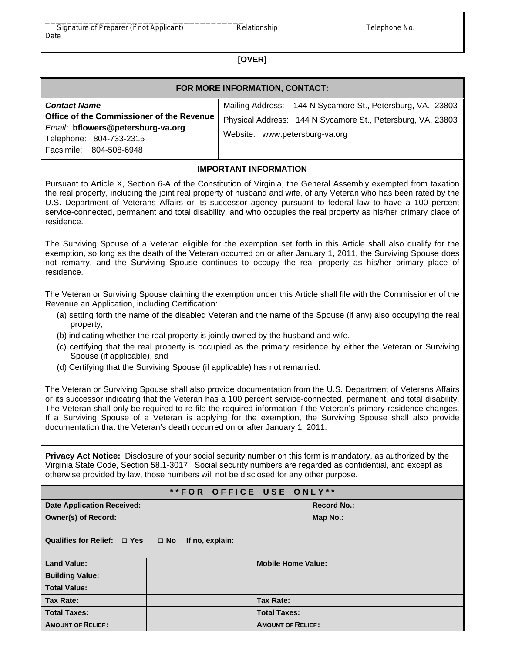## **[OVER]**

| FOR MORE INFORMATION, CONTACT:                                                                            |                                                                                               |  |  |  |  |  |
|-----------------------------------------------------------------------------------------------------------|-----------------------------------------------------------------------------------------------|--|--|--|--|--|
| <b>Contact Name</b>                                                                                       | Mailing Address: 144 N Sycamore St., Petersburg, VA. 23803                                    |  |  |  |  |  |
| Office of the Commissioner of the Revenue<br>Email: bflowers@petersburg-va.org<br>Telephone: 804-733-2315 | Physical Address: 144 N Sycamore St., Petersburg, VA. 23803<br>Website: www.petersburg-va.org |  |  |  |  |  |
| Facsimile: 804-508-6948                                                                                   |                                                                                               |  |  |  |  |  |
| I                                                                                                         |                                                                                               |  |  |  |  |  |

### **IMPORTANT INFORMATION**

Pursuant to Article X, Section 6-A of the Constitution of Virginia, the General Assembly exempted from taxation the real property, including the joint real property of husband and wife, of any Veteran who has been rated by the U.S. Department of Veterans Affairs or its successor agency pursuant to federal law to have a 100 percent service-connected, permanent and total disability, and who occupies the real property as his/her primary place of residence.

The Surviving Spouse of a Veteran eligible for the exemption set forth in this Article shall also qualify for the exemption, so long as the death of the Veteran occurred on or after January 1, 2011, the Surviving Spouse does not remarry, and the Surviving Spouse continues to occupy the real property as his/her primary place of residence.

The Veteran or Surviving Spouse claiming the exemption under this Article shall file with the Commissioner of the Revenue an Application, including Certification:

- (a) setting forth the name of the disabled Veteran and the name of the Spouse (if any) also occupying the real property,
- (b) indicating whether the real property is jointly owned by the husband and wife,
- (c) certifying that the real property is occupied as the primary residence by either the Veteran or Surviving Spouse (if applicable), and
- (d) Certifying that the Surviving Spouse (if applicable) has not remarried.

The Veteran or Surviving Spouse shall also provide documentation from the U.S. Department of Veterans Affairs or its successor indicating that the Veteran has a 100 percent service-connected, permanent, and total disability. The Veteran shall only be required to re-file the required information if the Veteran's primary residence changes. If a Surviving Spouse of a Veteran is applying for the exemption, the Surviving Spouse shall also provide documentation that the Veteran's death occurred on or after January 1, 2011.

**Privacy Act Notice:** Disclosure of your social security number on this form is mandatory, as authorized by the Virginia State Code, Section 58.1-3017. Social security numbers are regarded as confidential, and except as otherwise provided by law, those numbers will not be disclosed for any other purpose.

### **\* \* F O R O F F I C E U S E O N L Y \* \***

| <b>Date Application Received:</b> |           |                 |                           | <b>Record No.:</b> |  |
|-----------------------------------|-----------|-----------------|---------------------------|--------------------|--|
| <b>Owner(s) of Record:</b>        |           |                 |                           | Map No.:           |  |
| Qualifies for Relief: □ Yes       | $\Box$ No | If no, explain: |                           |                    |  |
| <b>Land Value:</b>                |           |                 | <b>Mobile Home Value:</b> |                    |  |
| <b>Building Value:</b>            |           |                 |                           |                    |  |
| <b>Total Value:</b>               |           |                 |                           |                    |  |
| Tax Rate:                         |           |                 | <b>Tax Rate:</b>          |                    |  |
| <b>Total Taxes:</b>               |           |                 | <b>Total Taxes:</b>       |                    |  |
| <b>AMOUNT OF RELIEF:</b>          |           |                 | <b>AMOUNT OF RELIEF:</b>  |                    |  |